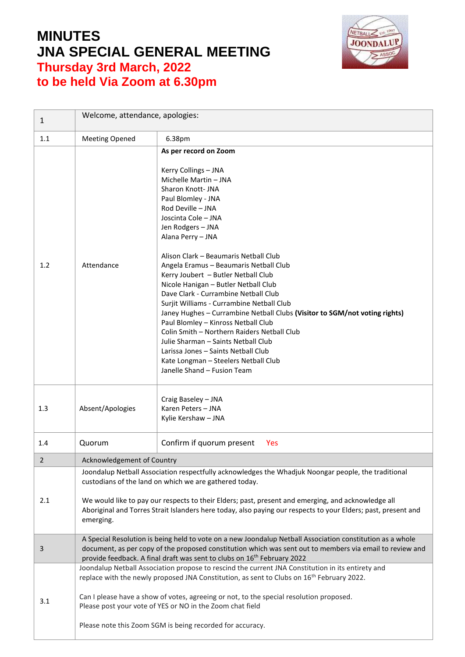## **MINUTES JNA SPECIAL GENERAL MEETING Thursday 3rd March, 2022 to be held Via Zoom at 6.30pm**



| $\mathbf{1}$   | Welcome, attendance, apologies:                                                                                                                                                                                                                                                                                                                                                                   |                                                                                                                                                                                                                                                                                                                                                                                                                                                    |  |
|----------------|---------------------------------------------------------------------------------------------------------------------------------------------------------------------------------------------------------------------------------------------------------------------------------------------------------------------------------------------------------------------------------------------------|----------------------------------------------------------------------------------------------------------------------------------------------------------------------------------------------------------------------------------------------------------------------------------------------------------------------------------------------------------------------------------------------------------------------------------------------------|--|
| 1.1            | <b>Meeting Opened</b>                                                                                                                                                                                                                                                                                                                                                                             | 6.38pm                                                                                                                                                                                                                                                                                                                                                                                                                                             |  |
| 1.2            | Attendance                                                                                                                                                                                                                                                                                                                                                                                        | As per record on Zoom<br>Kerry Collings - JNA<br>Michelle Martin - JNA<br>Sharon Knott- JNA<br>Paul Blomley - JNA<br>Rod Deville - JNA<br>Joscinta Cole - JNA<br>Jen Rodgers - JNA<br>Alana Perry - JNA<br>Alison Clark - Beaumaris Netball Club<br>Angela Eramus - Beaumaris Netball Club<br>Kerry Joubert - Butler Netball Club                                                                                                                  |  |
|                |                                                                                                                                                                                                                                                                                                                                                                                                   | Nicole Hanigan - Butler Netball Club<br>Dave Clark - Currambine Netball Club<br>Surjit Williams - Currambine Netball Club<br>Janey Hughes - Currambine Netball Clubs (Visitor to SGM/not voting rights)<br>Paul Blomley - Kinross Netball Club<br>Colin Smith - Northern Raiders Netball Club<br>Julie Sharman - Saints Netball Club<br>Larissa Jones - Saints Netball Club<br>Kate Longman - Steelers Netball Club<br>Janelle Shand - Fusion Team |  |
| 1.3            | Absent/Apologies                                                                                                                                                                                                                                                                                                                                                                                  | Craig Baseley - JNA<br>Karen Peters - JNA<br>Kylie Kershaw - JNA                                                                                                                                                                                                                                                                                                                                                                                   |  |
| 1.4            | Quorum                                                                                                                                                                                                                                                                                                                                                                                            | Confirm if quorum present<br>Yes                                                                                                                                                                                                                                                                                                                                                                                                                   |  |
| $\overline{2}$ | Acknowledgement of Country                                                                                                                                                                                                                                                                                                                                                                        |                                                                                                                                                                                                                                                                                                                                                                                                                                                    |  |
| 2.1            | Joondalup Netball Association respectfully acknowledges the Whadjuk Noongar people, the traditional<br>custodians of the land on which we are gathered today.<br>We would like to pay our respects to their Elders; past, present and emerging, and acknowledge all<br>Aboriginal and Torres Strait Islanders here today, also paying our respects to your Elders; past, present and<br>emerging. |                                                                                                                                                                                                                                                                                                                                                                                                                                                    |  |
| 3              | A Special Resolution is being held to vote on a new Joondalup Netball Association constitution as a whole<br>document, as per copy of the proposed constitution which was sent out to members via email to review and<br>provide feedback. A final draft was sent to clubs on 16 <sup>th</sup> February 2022                                                                                      |                                                                                                                                                                                                                                                                                                                                                                                                                                                    |  |
| 3.1            | Joondalup Netball Association propose to rescind the current JNA Constitution in its entirety and<br>replace with the newly proposed JNA Constitution, as sent to Clubs on 16 <sup>th</sup> February 2022.<br>Can I please have a show of votes, agreeing or not, to the special resolution proposed.<br>Please post your vote of YES or NO in the Zoom chat field                                |                                                                                                                                                                                                                                                                                                                                                                                                                                                    |  |
|                | Please note this Zoom SGM is being recorded for accuracy.                                                                                                                                                                                                                                                                                                                                         |                                                                                                                                                                                                                                                                                                                                                                                                                                                    |  |